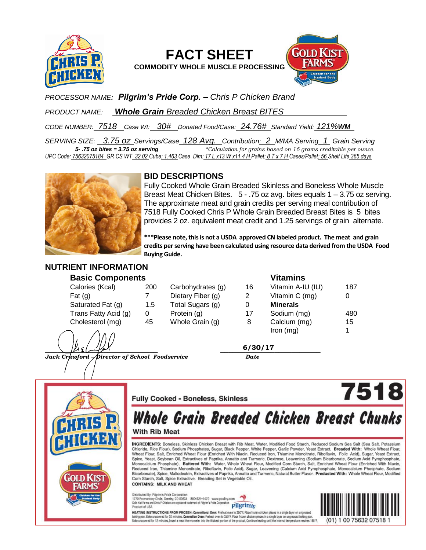

# **FACT SHEET**

**COMMODITY WHOLE MUSCLE PROCESSING**



*PROCESSOR NAME: Pilgrim's Pride Corp. – Chris P Chicken Brand* 

*PRODUCT NAME: Whole Grain Breaded Chicken Breast BITES* 

*CODE NUMBER: 7518 Case Wt: 30# Donated Food/Case: 24.76# Standard Yield: 121%WM*

*SERVING SIZE: 3.75 oz Servings/Case 128 Avg. Contribution: 2 M/MA Serving 1 Grain Serving 5- .75 oz bites = 3.75 oz serving \*Calculation for grains based on 16 grams creditable per ounce. UPC Code: 75632075184 GR CS WT 32.02 Cube: 1.463 Case Dim: 17 L x13 W x11.4 H Pallet: 8 T x 7 H Cases/Pallet: 56 Shelf Life 365 days*



## **BID DESCRIPTIONS**

Fully Cooked Whole Grain Breaded Skinless and Boneless Whole Muscle Breast Meat Chicken Bites. 5 - .75 oz avg. bites equals 1 – 3.75 oz serving. The approximate meat and grain credits per serving meal contribution of 7518 Fully Cooked Chris P Whole Grain Breaded Breast Bites is 5 bites provides 2 oz. equivalent meat credit and 1.25 servings of grain alternate.

**\*\*\*Please note, this is not a USDA approved CN labeled product. The meat and grain credits per serving have been calculated using resource data derived from the USDA Food Buying Guide.**

#### **NUTRIENT INFORMATION Basic Components**

| <b>Basic Components</b> |     |                   |    | <b>Vitamins</b>   |     |
|-------------------------|-----|-------------------|----|-------------------|-----|
| Calories (Kcal)         | 200 | Carbohydrates (g) | 16 | Vitamin A-IU (IU) | 187 |
| Fat $(g)$               |     | Dietary Fiber (g) | 2  | Vitamin C (mg)    | 0   |
| Saturated Fat (g)       | 1.5 | Total Sugars (g)  | 0  | <b>Minerals</b>   |     |
| Trans Fatty Acid (g)    | 0   | Protein (g)       | 17 | Sodium (mg)       | 480 |
| Cholesterol (mg)        | 45  | Whole Grain (g)   | 8  | Calcium (mg)      | 15  |
| ∕∖ ^ ∧                  |     |                   |    | $lron$ (mg)       |     |

 $\frac{\mu_{i} \sqrt{\mu_{i} \sqrt{2}}}{\sqrt{2}}$ **6/30/17**

*Jack Crawford – Director of School Foodservice Date*



### **Fully Cooked - Boneless, Skinless**

# **Whole Grain Breaded Chicken Breast Chunks**

**With Rib Meat** 

INGREDIENTS: Boneless, Skinless Chicken Breast with Rib Meat, Water, Modified Food Starch, Reduced Sodium Sea Salt (Sea Salt, Potassium Chloride, Rice Flour), Sodium Phosphates, Sugar, Black Pepper, White Pepper, Garlic Powder, Yeast Extract. Breaded With: Whole Wheat Flour, Wheat Flour, Salt, Enriched Wheat Flour (Enriched With Niacin, Reduced Iron, Thiamine Monoitrate, Riboflavin, Folic Acid), Sugar, Yeast Extract, Spice, Yeast, Soybean Oil, Extractives of Paprika, Annatto and Turmeric, Dextrose, Leavening (Sodium Bicarbonate, Sodium Acid Pyrophosphate, Monocalcium Phosphate). Battered With: Water, Whole Wheat Flour, Modified Corn Starch, Salt, Enriched Wheat Flour (Enriched With Niacin, Reduced Iron, Thiamine Mononitrate, Riboflavin, Folic Acid), Sugar, Leavening (Calcium Acid Pyrophosphate, Monocalcium Phosphate, Sodium Bicarbonate), Spice, Maltodextrin, Extractives of Paprika, Annatto and Turmeric, Natural Butter Flavor. Predusted With: Whole Wheat Flour, Modified Corn Starch, Salt, Spice Extractive. Breading Set in Vegetable Oil. **CONTAINS: MILK AND WHEAT** 

Distributed By: Pilgrim's Pride Corporation<br>1770 Promontory Circle, Greeley, CO 80634 800-321-1470 www.poultry.com<br>Gold Kiel Farms and Chris P Chicken are registered trademark of Pilgrim's Pride Corporation pilgrim's Product of USA





7518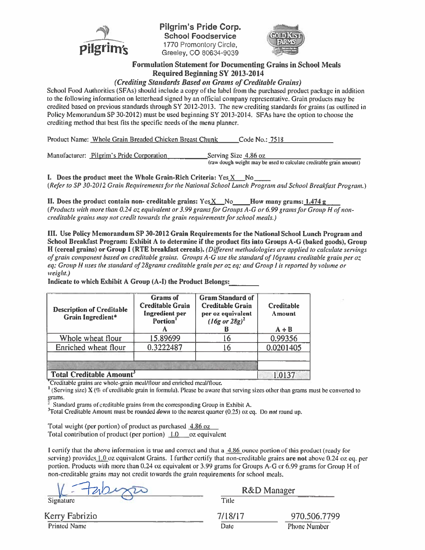

Pilgrim's Pride Corp. **School Foodservice** 1770 Promontory Circle. Greelev, CO 80634-9039



#### **Formulation Statement for Documenting Grains in School Meals Required Beginning SY 2013-2014**

(Crediting Standards Based on Grams of Creditable Grains)

School Food Authorities (SFAs) should include a copy of the label from the purchased product package in addition to the following information on letterhead signed by an official company representative. Grain products may be credited based on previous standards through  $SY$  2012-2013. The new crediting standards for grains (as outlined in Policy Memorandum SP 30-2012) must be used beginning SY 2013-2014. SFAs have the option to choose the crediting method that best fits the specific needs of the menu planner.

Product Name: Whole Grain Breaded Chicken Breast Chunk Code No.: 7518

Manufacturer: Pilgrim's Pride Corporation Serving Size 4.86 oz (raw dough weight may be used to calculate creditable grain amount)

I. Does the product meet the Whole Grain-Rich Criteria: Yes X No (Refer to SP 30-2012 Grain Requirements for the National School Lunch Program and School Breakfast Program.)

II. Does the product contain non- creditable grains:  $YesX$  No How many grams:  $1.474 g$ (Products with more than 0.24 oz equivalent or 3.99 grams for Groups A-G or 6.99 grams for Group H of noncreditable grains may not credit towards the grain requirements for school meals.)

III. Use Policy Memorandum SP 30-2012 Grain Requirements for the National School Lunch Program and School Breakfast Program: Exhibit A to determine if the product fits into Groups A-G (baked goods), Group H (cereal grains) or Group I (RTE breakfast cereals). (Different methodologies are applied to calculate servings of grain component based on creditable grains. Groups A-G use the standard of 16grams creditable grain per oz eq; Group H uses the standard of 28grams creditable grain per oz eq; and Group I is reported by volume or weight.)

Indicate to which Exhibit A Group (A-I) the Product Belongs:

| <b>Description of Creditable</b><br>Grain Ingredient* | <b>Grams</b> of<br><b>Creditable Grain</b><br><b>Ingredient</b> per<br>Portion <sup>1</sup> | <b>Gram Standard of</b><br><b>Creditable Grain</b><br>per oz equivalent<br>$(I6g \text{ or } 28g)^2$ | <b>Creditable</b><br>Amount<br>$A \div B$ |  |
|-------------------------------------------------------|---------------------------------------------------------------------------------------------|------------------------------------------------------------------------------------------------------|-------------------------------------------|--|
| Whole wheat flour                                     | 15.89699                                                                                    | 16                                                                                                   | 0.99356                                   |  |
| Enriched wheat flour                                  | 0.3222487                                                                                   |                                                                                                      | 0.0201405                                 |  |
|                                                       |                                                                                             |                                                                                                      |                                           |  |
| <b>Total Creditable Amount'</b>                       |                                                                                             |                                                                                                      |                                           |  |

Creditable grains are whole-grain meal/flour and enriched meal/flour.

<sup>1</sup> (Serving size)  $X$  (% of creditable grain in formula). Please be aware that serving sizes other than grams must be converted to grams.

Standard grams of creditable grains from the corresponding Group in Exhibit A.

<sup>3</sup>Total Creditable Amount must be rounded *down* to the nearest quarter (0.25) oz eq. Do *not* round up.

Total weight (per portion) of product as purchased 4.86 oz Total contribution of product (per portion)  $1.0$  oz equivalent

I certify that the above information is true and correct and that a 4.86 ounce portion of this product (ready for serving) provides  $1.0$  oz equivalent Grains. I further certify that non-creditable grains are not above 0.24 oz eq. per portion. Products with more than 0.24 oz equivalent or 3.99 grams for Groups A-G or 6.99 grams for Group H of non-creditable grains may not credit towards the grain requirements for school meals.

Signature

Kerry Fabrizio

**Printed Name** 

|       | R&D Manager |  |
|-------|-------------|--|
| Title |             |  |

| 7/18/17 | 970.506.7799        |  |  |
|---------|---------------------|--|--|
| Date    | <b>Phone Number</b> |  |  |